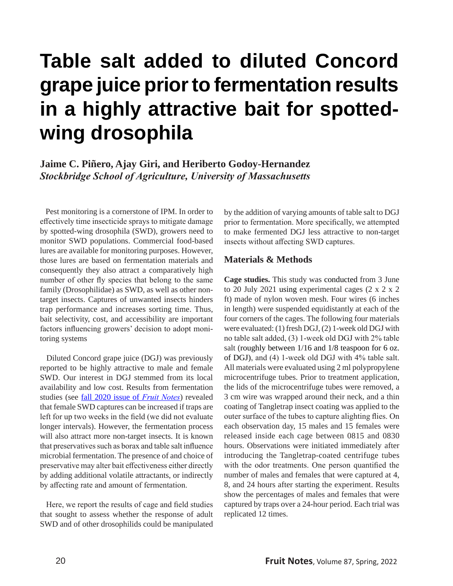# **Table salt added to diluted Concord grape juice prior to fermentation results in a highly attractive bait for spottedwing drosophila**

**Jaime C. Piñero, Ajay Giri, and Heriberto Godoy-Hernandez** *Stockbridge School of Agriculture, University of Massachusetts*

 Pest monitoring is a cornerstone of IPM. In order to effectively time insecticide sprays to mitigate damage by spotted-wing drosophila (SWD), growers need to monitor SWD populations. Commercial food-based lures are available for monitoring purposes. However, those lures are based on fermentation materials and consequently they also attract a comparatively high number of other fly species that belong to the same family (Drosophilidae) as SWD, as well as other nontarget insects. Captures of unwanted insects hinders trap performance and increases sorting time. Thus, bait selectivity, cost, and accessibility are important factors influencing growers' decision to adopt monitoring systems

 Diluted Concord grape juice (DGJ) was previously reported to be highly attractive to male and female SWD. Our interest in DGJ stemmed from its local availability and low cost. Results from fermentation studies (see [fall 2020 issue of](http://umassfruitnotes.com/v85n4/a2.pdf) *Fruit Notes*) revealed that female SWD captures can be increased if traps are left for up two weeks in the field (we did not evaluate longer intervals). However, the fermentation process will also attract more non-target insects. It is known that preservatives such as borax and table salt influence microbial fermentation. The presence of and choice of preservative may alter bait effectiveness either directly by adding additional volatile attractants, or indirectly by affecting rate and amount of fermentation.

 Here, we report the results of cage and field studies that sought to assess whether the response of adult SWD and of other drosophilids could be manipulated by the addition of varying amounts of table salt to DGJ prior to fermentation. More specifically, we attempted to make fermented DGJ less attractive to non-target insects without affecting SWD captures.

#### **Materials & Methods**

**Cage studies.** This study was conducted from 3 June to 20 July 2021 using experimental cages (2 x 2 x 2 ft) made of nylon woven mesh. Four wires (6 inches in length) were suspended equidistantly at each of the four corners of the cages. The following four materials were evaluated: (1) fresh DGJ, (2) 1-week old DGJ with no table salt added, (3) 1-week old DGJ with 2% table salt (roughly between  $1/16$  and  $1/8$  teaspoon for 6 oz. of DGJ), and (4) 1-week old DGJ with 4% table salt. All materials were evaluated using 2 ml polypropylene microcentrifuge tubes. Prior to treatment application, the lids of the microcentrifuge tubes were removed, a 3 cm wire was wrapped around their neck, and a thin coating of Tangletrap insect coating was applied to the outer surface of the tubes to capture alighting flies. On each observation day, 15 males and 15 females were released inside each cage between 0815 and 0830 hours. Observations were initiated immediately after introducing the Tangletrap-coated centrifuge tubes with the odor treatments. One person quantified the number of males and females that were captured at 4, 8, and 24 hours after starting the experiment. Results show the percentages of males and females that were captured by traps over a 24-hour period. Each trial was replicated 12 times.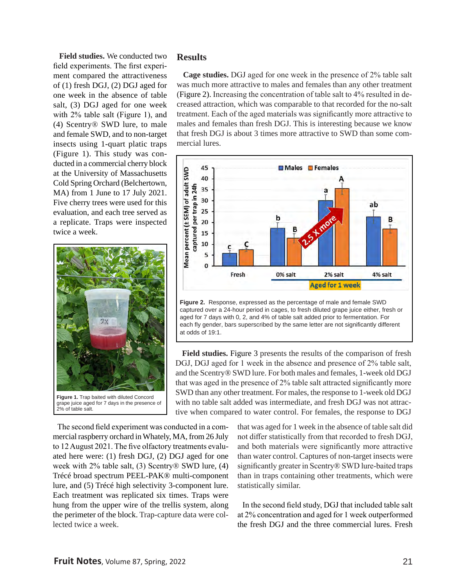**Field studies.** We conducted two field experiments. The first experiment compared the attractiveness of (1) fresh DGJ, (2) DGJ aged for one week in the absence of table salt, (3) DGJ aged for one week with 2% table salt (Figure 1), and (4) Scentry® SWD lure, to male and female SWD, and to non-target insects using 1-quart platic traps (Figure 1). This study was conducted in a commercial cherry block at the University of Massachusetts Cold Spring Orchard (Belchertown, MA) from 1 June to 17 July 2021. Five cherry trees were used for this evaluation, and each tree served as a replicate. Traps were inspected twice a week.



#### **Results**

 **Cage studies.** DGJ aged for one week in the presence of 2% table salt was much more attractive to males and females than any other treatment (Figure 2). Increasing the concentration of table salt to 4% resulted in decreased attraction, which was comparable to that recorded for the no-salt treatment. Each of the aged materials was significantly more attractive to males and females than fresh DGJ. This is interesting because we know that fresh DGJ is about 3 times more attractive to SWD than some commercial lures.



**Figure 2.** Response, expressed as the percentage of male and female SWD captured over a 24-hour period in cages, to fresh diluted grape juice either, fresh or aged for 7 days with 0, 2, and 4% of table salt added prior to fermentation. For each fly gender, bars superscribed by the same letter are not significantly different at odds of 19:1.

 **Field studies.** Figure 3 presents the results of the comparison of fresh DGJ, DGJ aged for 1 week in the absence and presence of 2% table salt, and the Scentry® SWD lure. For both males and females, 1-week old DGJ that was aged in the presence of 2% table salt attracted significantly more SWD than any other treatment. For males, the response to 1-week old DGJ with no table salt added was intermediate, and fresh DGJ was not attractive when compared to water control. For females, the response to DGJ

 The second field experiment was conducted in a commercial raspberry orchard in Whately, MA, from 26 July to 12 August 2021. The five olfactory treatments evaluated here were: (1) fresh DGJ, (2) DGJ aged for one week with 2% table salt, (3) Scentry® SWD lure, (4) Trécé broad spectrum PEEL-PAK® multi-component lure, and (5) Trécé high selectivity 3-component lure. Each treatment was replicated six times. Traps were hung from the upper wire of the trellis system, along the perimeter of the block. Trap-capture data were collected twice a week.

that was aged for 1 week in the absence of table salt did not differ statistically from that recorded to fresh DGJ, and both materials were significantly more attractive than water control. Captures of non-target insects were significantly greater in Scentry® SWD lure-baited traps than in traps containing other treatments, which were statistically similar.

 In the second field study, DGJ that included table salt at 2% concentration and aged for 1 week outperformed the fresh DGJ and the three commercial lures. Fresh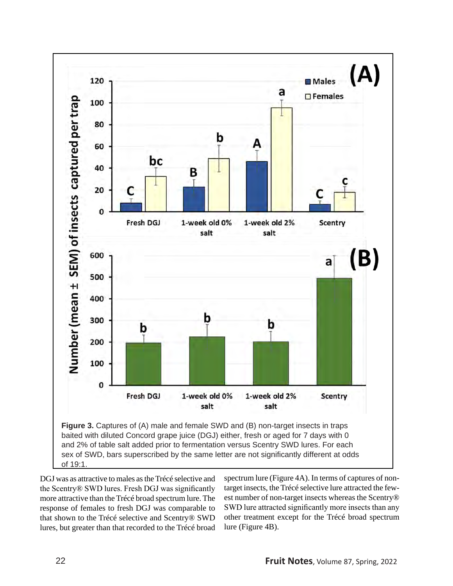

DGJ was as attractive to males as the Trécé selective and the Scentry® SWD lures. Fresh DGJ was significantly more attractive than the Trécé broad spectrum lure. The response of females to fresh DGJ was comparable to that shown to the Trécé selective and Scentry® SWD lures, but greater than that recorded to the Trécé broad

spectrum lure (Figure 4A). In terms of captures of nontarget insects, the Trécé selective lure attracted the fewest number of non-target insects whereas the Scentry® SWD lure attracted significantly more insects than any other treatment except for the Trécé broad spectrum lure (Figure 4B).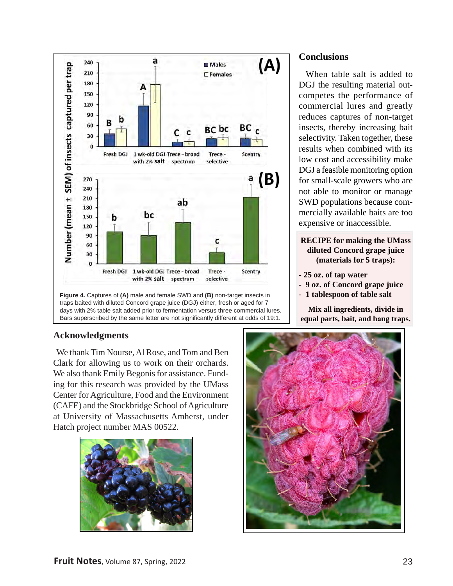

**Figure 4.** Captures of **(A)** male and female SWD and **(B)** non-target insects in traps baited with diluted Concord grape juice (DGJ) either, fresh or aged for 7 days with 2% table salt added prior to fermentation versus three commercial lures. Bars superscribed by the same letter are not significantly different at odds of 19:1.

# **Acknowledgments**

 We thank Tim Nourse, Al Rose, and Tom and Ben Clark for allowing us to work on their orchards. We also thank Emily Begonis for assistance. Funding for this research was provided by the UMass Center for Agriculture, Food and the Environment (CAFE) and the Stockbridge School of Agriculture at University of Massachusetts Amherst, under Hatch project number MAS 00522.



# **Conclusions**

 When table salt is added to DGJ the resulting material outcompetes the performance of commercial lures and greatly reduces captures of non-target insects, thereby increasing bait selectivity. Taken together, these results when combined with its low cost and accessibility make DGJ a feasible monitoring option for small-scale growers who are not able to monitor or manage SWD populations because commercially available baits are too expensive or inaccessible.

### **RECIPE for making the UMass**  ,**diluted Concord grape juice (materials for 5 traps):**

- **25 oz. of tap water**
- **9 oz. of Concord grape juice**
- **1 tablespoon of table salt**

**Mix all ingredients, divide in equal parts, bait, and hang traps.**